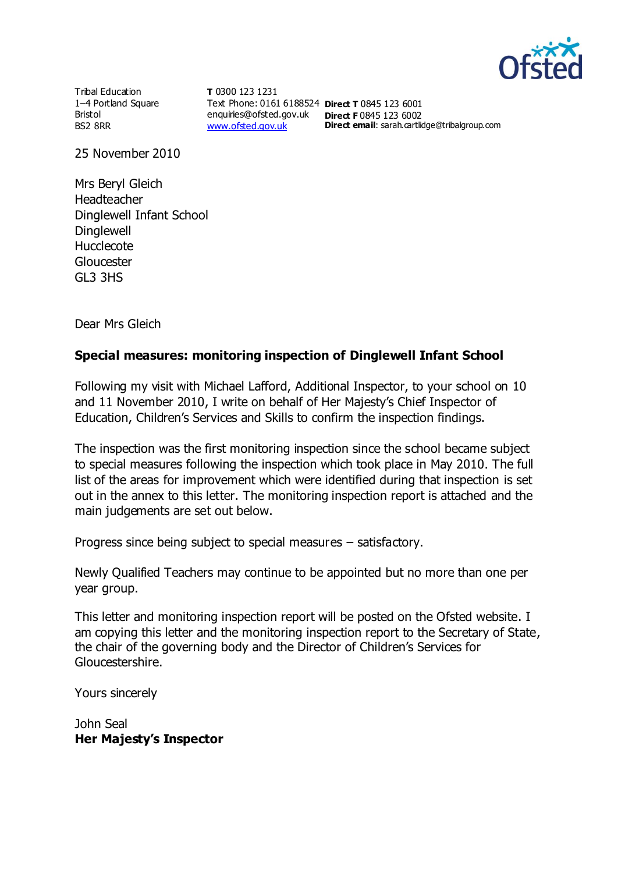

Tribal Education 1–4 Portland Square Bristol BS2 8RR

**T** 0300 123 1231 Text Phone: 0161 6188524 **Direct T** 0845 123 6001 enquiries@ofsted.gov.uk **Direct F** 0845 123 6002 [www.ofsted.gov.uk](http://www.ofsted.gov.uk/)

**Direct email:** sarah.cartlidge@tribalgroup.com

25 November 2010

Mrs Beryl Gleich Headteacher Dinglewell Infant School **Dinglewell** Hucclecote **Gloucester** GL3 3HS

Dear Mrs Gleich

## **Special measures: monitoring inspection of Dinglewell Infant School**

Following my visit with Michael Lafford, Additional Inspector, to your school on 10 and 11 November 2010, I write on behalf of Her Majesty's Chief Inspector of Education, Children's Services and Skills to confirm the inspection findings.

The inspection was the first monitoring inspection since the school became subject to special measures following the inspection which took place in May 2010. The full list of the areas for improvement which were identified during that inspection is set out in the annex to this letter. The monitoring inspection report is attached and the main judgements are set out below.

Progress since being subject to special measures – satisfactory.

Newly Qualified Teachers may continue to be appointed but no more than one per year group.

This letter and monitoring inspection report will be posted on the Ofsted website. I am copying this letter and the monitoring inspection report to the Secretary of State, the chair of the governing body and the Director of Children's Services for Gloucestershire.

Yours sincerely

John Seal **Her Majesty's Inspector**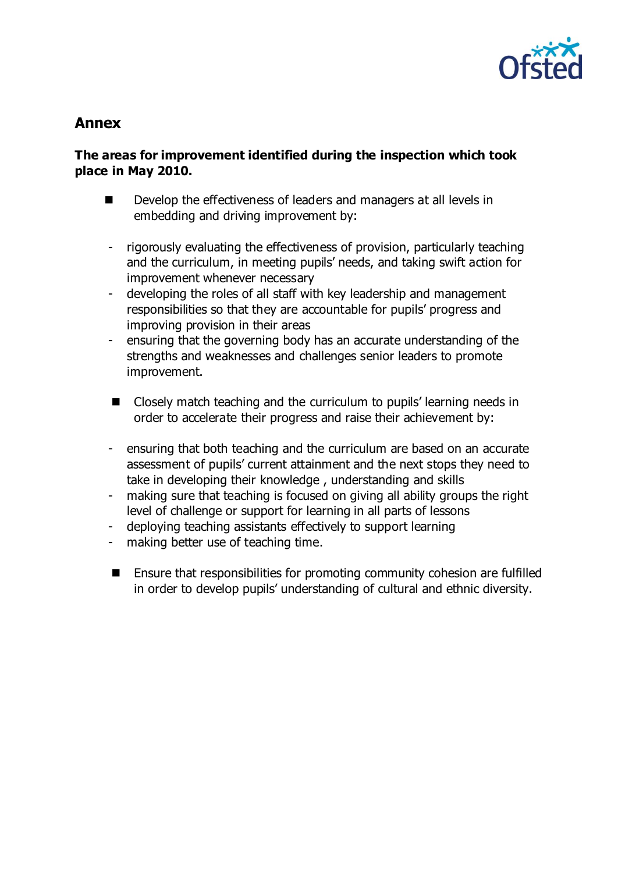

# **Annex**

## **The areas for improvement identified during the inspection which took place in May 2010.**

- Develop the effectiveness of leaders and managers at all levels in embedding and driving improvement by:
- rigorously evaluating the effectiveness of provision, particularly teaching and the curriculum, in meeting pupils' needs, and taking swift action for improvement whenever necessary
- developing the roles of all staff with key leadership and management responsibilities so that they are accountable for pupils' progress and improving provision in their areas
- ensuring that the governing body has an accurate understanding of the strengths and weaknesses and challenges senior leaders to promote improvement.
- Closely match teaching and the curriculum to pupils' learning needs in order to accelerate their progress and raise their achievement by:
- ensuring that both teaching and the curriculum are based on an accurate assessment of pupils' current attainment and the next stops they need to take in developing their knowledge , understanding and skills
- making sure that teaching is focused on giving all ability groups the right level of challenge or support for learning in all parts of lessons
- deploying teaching assistants effectively to support learning
- making better use of teaching time.
- Ensure that responsibilities for promoting community cohesion are fulfilled in order to develop pupils' understanding of cultural and ethnic diversity.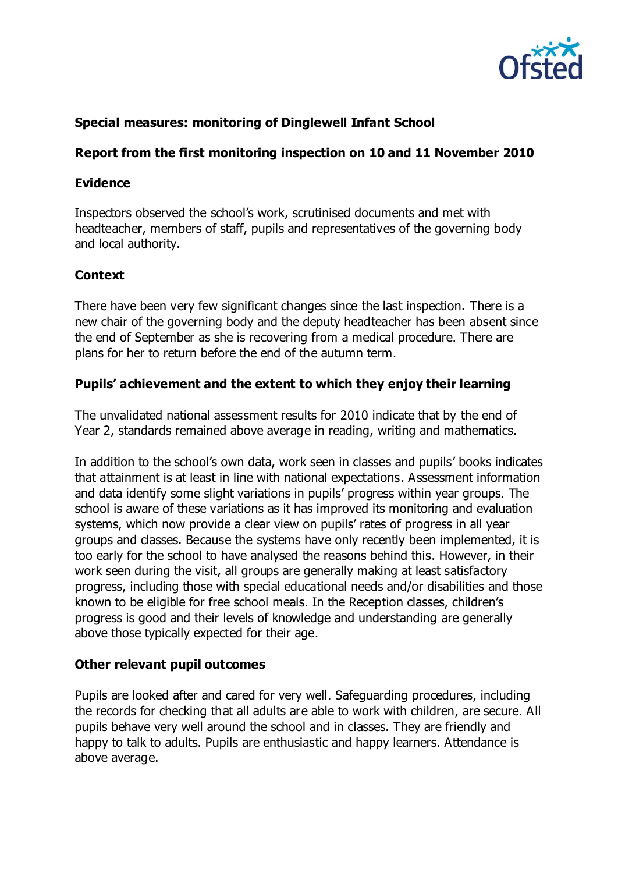

# **Special measures: monitoring of Dinglewell Infant School**

#### **Report from the first monitoring inspection on 10 and 11 November 2010**

#### **Evidence**

Inspectors observed the school's work, scrutinised documents and met with headteacher, members of staff, pupils and representatives of the governing body and local authority.

# **Context**

There have been very few significant changes since the last inspection. There is a new chair of the governing body and the deputy headteacher has been absent since the end of September as she is recovering from a medical procedure. There are plans for her to return before the end of the autumn term.

## **Pupils' achievement and the extent to which they enjoy their learning**

The unvalidated national assessment results for 2010 indicate that by the end of Year 2, standards remained above average in reading, writing and mathematics.

In addition to the school's own data, work seen in classes and pupils' books indicates that attainment is at least in line with national expectations. Assessment information and data identify some slight variations in pupils' progress within year groups. The school is aware of these variations as it has improved its monitoring and evaluation systems, which now provide a clear view on pupils' rates of progress in all year groups and classes. Because the systems have only recently been implemented, it is too early for the school to have analysed the reasons behind this. However, in their work seen during the visit, all groups are generally making at least satisfactory progress, including those with special educational needs and/or disabilities and those known to be eligible for free school meals. In the Reception classes, children's progress is good and their levels of knowledge and understanding are generally above those typically expected for their age.

# **Other relevant pupil outcomes**

Pupils are looked after and cared for very well. Safeguarding procedures, including the records for checking that all adults are able to work with children, are secure. All pupils behave very well around the school and in classes. They are friendly and happy to talk to adults. Pupils are enthusiastic and happy learners. Attendance is above average.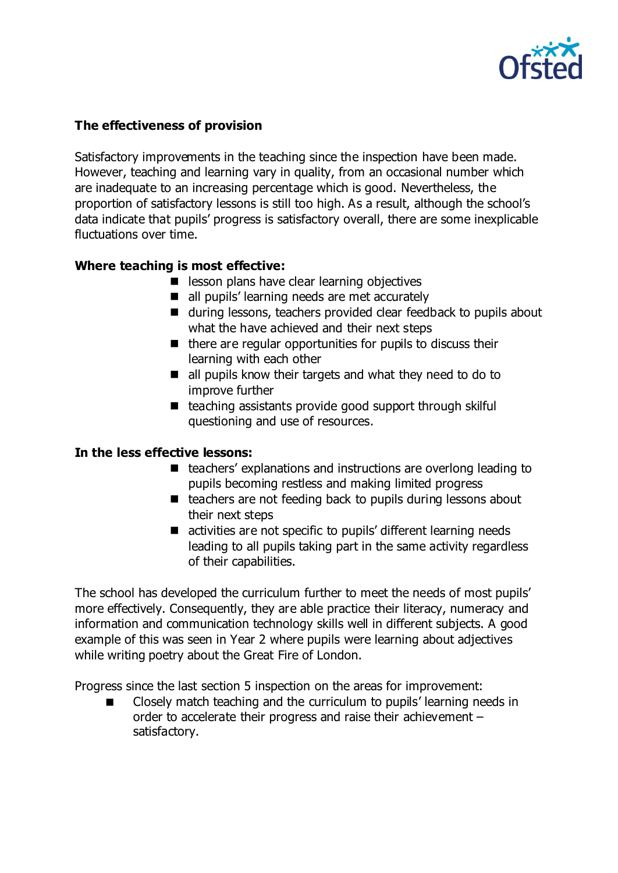

## **The effectiveness of provision**

Satisfactory improvements in the teaching since the inspection have been made. However, teaching and learning vary in quality, from an occasional number which are inadequate to an increasing percentage which is good. Nevertheless, the proportion of satisfactory lessons is still too high. As a result, although the school's data indicate that pupils' progress is satisfactory overall, there are some inexplicable fluctuations over time.

## **Where teaching is most effective:**

- lesson plans have clear learning objectives
- all pupils' learning needs are met accurately
- during lessons, teachers provided clear feedback to pupils about what the have achieved and their next steps
- $\blacksquare$  there are regular opportunities for pupils to discuss their learning with each other
- all pupils know their targets and what they need to do to improve further
- $\blacksquare$  teaching assistants provide good support through skilful questioning and use of resources.

#### **In the less effective lessons:**

- teachers' explanations and instructions are overlong leading to pupils becoming restless and making limited progress
- $\blacksquare$  teachers are not feeding back to pupils during lessons about their next steps
- activities are not specific to pupils' different learning needs leading to all pupils taking part in the same activity regardless of their capabilities.

The school has developed the curriculum further to meet the needs of most pupils' more effectively. Consequently, they are able practice their literacy, numeracy and information and communication technology skills well in different subjects. A good example of this was seen in Year 2 where pupils were learning about adjectives while writing poetry about the Great Fire of London.

Progress since the last section 5 inspection on the areas for improvement:

 Closely match teaching and the curriculum to pupils' learning needs in order to accelerate their progress and raise their achievement – satisfactory.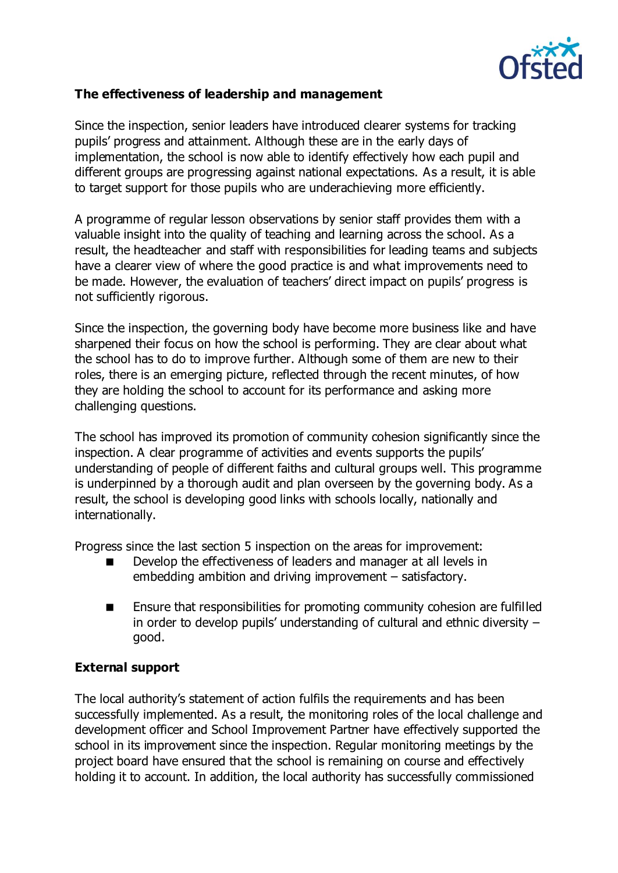

#### **The effectiveness of leadership and management**

Since the inspection, senior leaders have introduced clearer systems for tracking pupils' progress and attainment. Although these are in the early days of implementation, the school is now able to identify effectively how each pupil and different groups are progressing against national expectations. As a result, it is able to target support for those pupils who are underachieving more efficiently.

A programme of regular lesson observations by senior staff provides them with a valuable insight into the quality of teaching and learning across the school. As a result, the headteacher and staff with responsibilities for leading teams and subjects have a clearer view of where the good practice is and what improvements need to be made. However, the evaluation of teachers' direct impact on pupils' progress is not sufficiently rigorous.

Since the inspection, the governing body have become more business like and have sharpened their focus on how the school is performing. They are clear about what the school has to do to improve further. Although some of them are new to their roles, there is an emerging picture, reflected through the recent minutes, of how they are holding the school to account for its performance and asking more challenging questions.

The school has improved its promotion of community cohesion significantly since the inspection. A clear programme of activities and events supports the pupils' understanding of people of different faiths and cultural groups well. This programme is underpinned by a thorough audit and plan overseen by the governing body. As a result, the school is developing good links with schools locally, nationally and internationally.

Progress since the last section 5 inspection on the areas for improvement:

- Develop the effectiveness of leaders and manager at all levels in embedding ambition and driving improvement – satisfactory.
- Ensure that responsibilities for promoting community cohesion are fulfilled in order to develop pupils' understanding of cultural and ethnic diversity – good.

#### **External support**

The local authority's statement of action fulfils the requirements and has been successfully implemented. As a result, the monitoring roles of the local challenge and development officer and School Improvement Partner have effectively supported the school in its improvement since the inspection. Regular monitoring meetings by the project board have ensured that the school is remaining on course and effectively holding it to account. In addition, the local authority has successfully commissioned